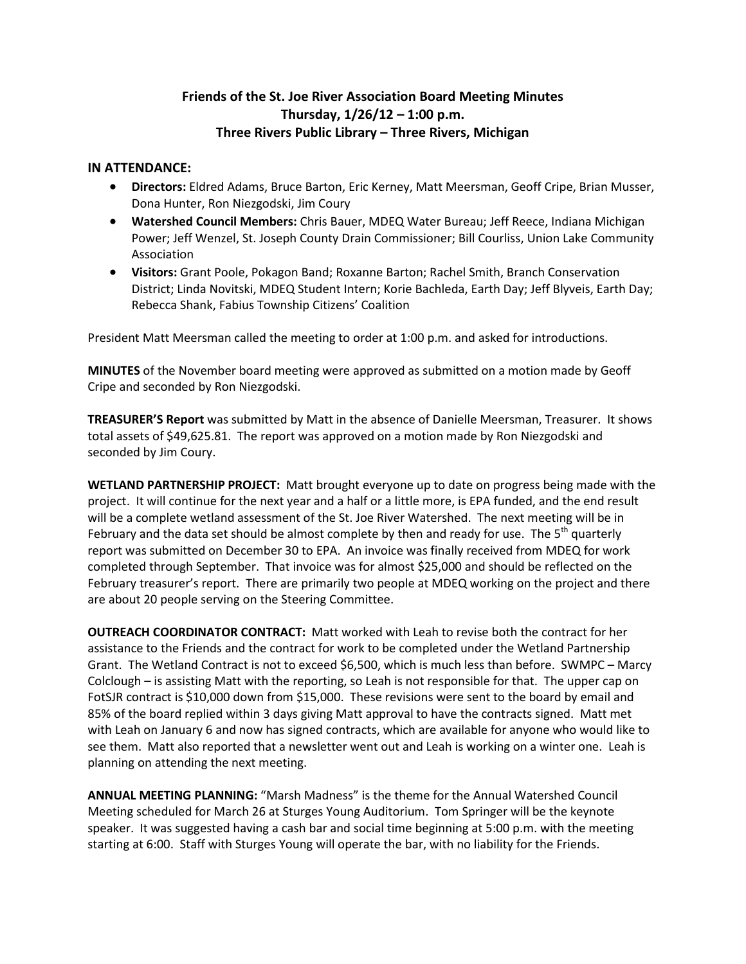## **Friends of the St. Joe River Association Board Meeting Minutes Thursday, 1/26/12 – 1:00 p.m. Three Rivers Public Library – Three Rivers, Michigan**

## **IN ATTENDANCE:**

- **Directors:** Eldred Adams, Bruce Barton, Eric Kerney, Matt Meersman, Geoff Cripe, Brian Musser, Dona Hunter, Ron Niezgodski, Jim Coury
- **Watershed Council Members:** Chris Bauer, MDEQ Water Bureau; Jeff Reece, Indiana Michigan Power; Jeff Wenzel, St. Joseph County Drain Commissioner; Bill Courliss, Union Lake Community Association
- **Visitors:** Grant Poole, Pokagon Band; Roxanne Barton; Rachel Smith, Branch Conservation District; Linda Novitski, MDEQ Student Intern; Korie Bachleda, Earth Day; Jeff Blyveis, Earth Day; Rebecca Shank, Fabius Township Citizens' Coalition

President Matt Meersman called the meeting to order at 1:00 p.m. and asked for introductions.

**MINUTES** of the November board meeting were approved as submitted on a motion made by Geoff Cripe and seconded by Ron Niezgodski.

**TREASURER'S Report** was submitted by Matt in the absence of Danielle Meersman, Treasurer. It shows total assets of \$49,625.81. The report was approved on a motion made by Ron Niezgodski and seconded by Jim Coury.

**WETLAND PARTNERSHIP PROJECT:** Matt brought everyone up to date on progress being made with the project. It will continue for the next year and a half or a little more, is EPA funded, and the end result will be a complete wetland assessment of the St. Joe River Watershed. The next meeting will be in February and the data set should be almost complete by then and ready for use. The  $5<sup>th</sup>$  quarterly report was submitted on December 30 to EPA. An invoice was finally received from MDEQ for work completed through September. That invoice was for almost \$25,000 and should be reflected on the February treasurer's report. There are primarily two people at MDEQ working on the project and there are about 20 people serving on the Steering Committee.

**OUTREACH COORDINATOR CONTRACT:** Matt worked with Leah to revise both the contract for her assistance to the Friends and the contract for work to be completed under the Wetland Partnership Grant. The Wetland Contract is not to exceed \$6,500, which is much less than before. SWMPC – Marcy Colclough – is assisting Matt with the reporting, so Leah is not responsible for that. The upper cap on FotSJR contract is \$10,000 down from \$15,000. These revisions were sent to the board by email and 85% of the board replied within 3 days giving Matt approval to have the contracts signed. Matt met with Leah on January 6 and now has signed contracts, which are available for anyone who would like to see them. Matt also reported that a newsletter went out and Leah is working on a winter one. Leah is planning on attending the next meeting.

**ANNUAL MEETING PLANNING:** "Marsh Madness" is the theme for the Annual Watershed Council Meeting scheduled for March 26 at Sturges Young Auditorium. Tom Springer will be the keynote speaker. It was suggested having a cash bar and social time beginning at 5:00 p.m. with the meeting starting at 6:00. Staff with Sturges Young will operate the bar, with no liability for the Friends.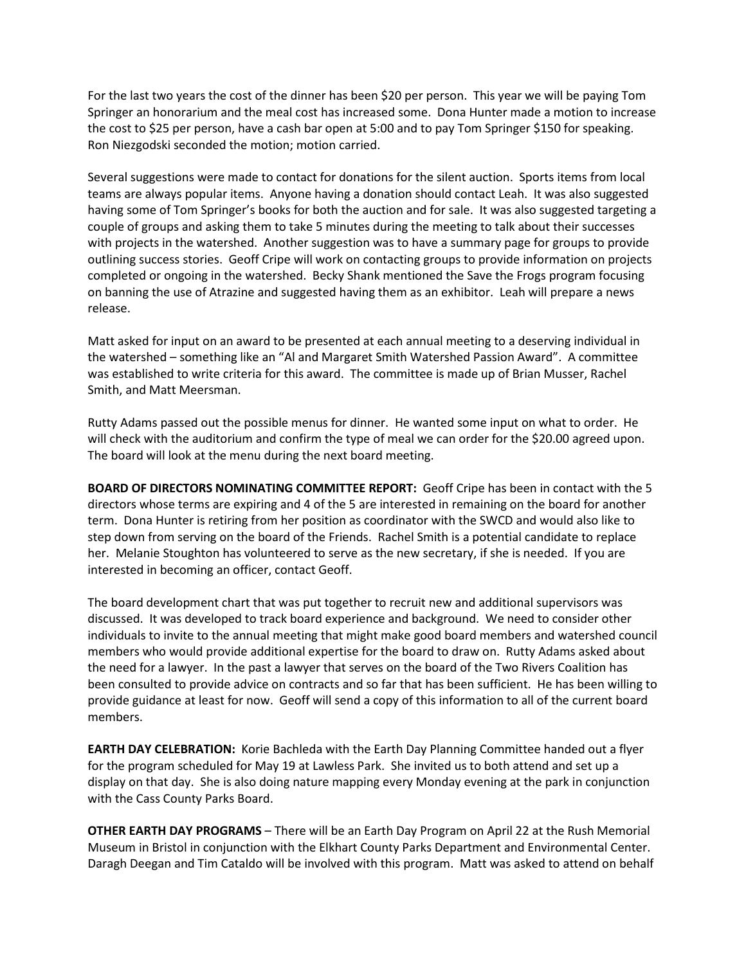For the last two years the cost of the dinner has been \$20 per person. This year we will be paying Tom Springer an honorarium and the meal cost has increased some. Dona Hunter made a motion to increase the cost to \$25 per person, have a cash bar open at 5:00 and to pay Tom Springer \$150 for speaking. Ron Niezgodski seconded the motion; motion carried.

Several suggestions were made to contact for donations for the silent auction. Sports items from local teams are always popular items. Anyone having a donation should contact Leah. It was also suggested having some of Tom Springer's books for both the auction and for sale. It was also suggested targeting a couple of groups and asking them to take 5 minutes during the meeting to talk about their successes with projects in the watershed. Another suggestion was to have a summary page for groups to provide outlining success stories. Geoff Cripe will work on contacting groups to provide information on projects completed or ongoing in the watershed. Becky Shank mentioned the Save the Frogs program focusing on banning the use of Atrazine and suggested having them as an exhibitor. Leah will prepare a news release.

Matt asked for input on an award to be presented at each annual meeting to a deserving individual in the watershed – something like an "Al and Margaret Smith Watershed Passion Award". A committee was established to write criteria for this award. The committee is made up of Brian Musser, Rachel Smith, and Matt Meersman.

Rutty Adams passed out the possible menus for dinner. He wanted some input on what to order. He will check with the auditorium and confirm the type of meal we can order for the \$20.00 agreed upon. The board will look at the menu during the next board meeting.

**BOARD OF DIRECTORS NOMINATING COMMITTEE REPORT:** Geoff Cripe has been in contact with the 5 directors whose terms are expiring and 4 of the 5 are interested in remaining on the board for another term. Dona Hunter is retiring from her position as coordinator with the SWCD and would also like to step down from serving on the board of the Friends. Rachel Smith is a potential candidate to replace her. Melanie Stoughton has volunteered to serve as the new secretary, if she is needed. If you are interested in becoming an officer, contact Geoff.

The board development chart that was put together to recruit new and additional supervisors was discussed. It was developed to track board experience and background. We need to consider other individuals to invite to the annual meeting that might make good board members and watershed council members who would provide additional expertise for the board to draw on. Rutty Adams asked about the need for a lawyer. In the past a lawyer that serves on the board of the Two Rivers Coalition has been consulted to provide advice on contracts and so far that has been sufficient. He has been willing to provide guidance at least for now. Geoff will send a copy of this information to all of the current board members.

**EARTH DAY CELEBRATION:** Korie Bachleda with the Earth Day Planning Committee handed out a flyer for the program scheduled for May 19 at Lawless Park. She invited us to both attend and set up a display on that day. She is also doing nature mapping every Monday evening at the park in conjunction with the Cass County Parks Board.

**OTHER EARTH DAY PROGRAMS** – There will be an Earth Day Program on April 22 at the Rush Memorial Museum in Bristol in conjunction with the Elkhart County Parks Department and Environmental Center. Daragh Deegan and Tim Cataldo will be involved with this program. Matt was asked to attend on behalf